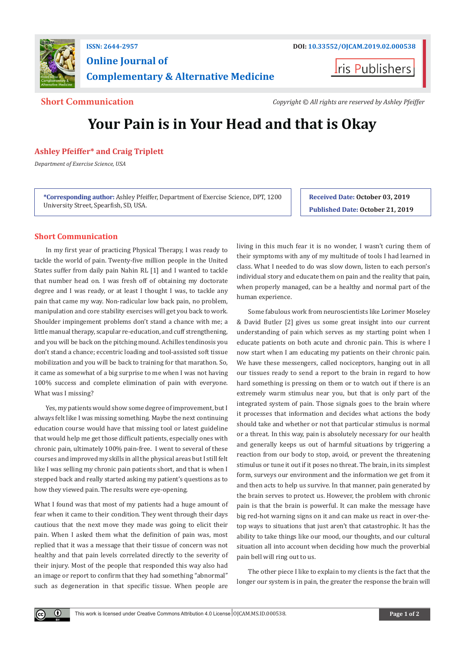

# **ISSN: 2644-2957 DOI: [10.33552/OJCAM.2019.02.000538](http://dx.doi.org/10.33552/OJCAM.2019.02.000538) Online Journal of Complementary & Alternative Medicine**

**Iris Publishers** 

**Short Communication** *Copyright © All rights are reserved by Ashley Pfeiffer*

# **Your Pain is in Your Head and that is Okay**

# **Ashley Pfeiffer\* and Craig Triplett**

*Department of Exercise Science, USA*

**\*Corresponding author:** Ashley Pfeiffer, Department of Exercise Science, DPT, 1200 University Street, Spearfish, SD, USA.

**Received Date: October 03, 2019 Published Date: October 21, 2019**

## **Short Communication**

In my first year of practicing Physical Therapy, I was ready to tackle the world of pain. Twenty-five million people in the United States suffer from daily pain Nahin RL [1] and I wanted to tackle that number head on. I was fresh off of obtaining my doctorate degree and I was ready, or at least I thought I was, to tackle any pain that came my way. Non-radicular low back pain, no problem, manipulation and core stability exercises will get you back to work. Shoulder impingement problems don't stand a chance with me; a little manual therapy, scapular re-education, and cuff strengthening, and you will be back on the pitching mound. Achilles tendinosis you don't stand a chance; eccentric loading and tool-assisted soft tissue mobilization and you will be back to training for that marathon. So, it came as somewhat of a big surprise to me when I was not having 100% success and complete elimination of pain with everyone. What was I missing?

Yes, my patients would show some degree of improvement, but I always felt like I was missing something. Maybe the next continuing education course would have that missing tool or latest guideline that would help me get those difficult patients, especially ones with chronic pain, ultimately 100% pain-free. I went to several of these courses and improved my skills in all the physical areas but I still felt like I was selling my chronic pain patients short, and that is when I stepped back and really started asking my patient's questions as to how they viewed pain. The results were eye-opening.

What I found was that most of my patients had a huge amount of fear when it came to their condition. They went through their days cautious that the next move they made was going to elicit their pain. When I asked them what the definition of pain was, most replied that it was a message that their tissue of concern was not healthy and that pain levels correlated directly to the severity of their injury. Most of the people that responded this way also had an image or report to confirm that they had something "abnormal" such as degeneration in that specific tissue. When people are

 $\bf \Theta$ 

living in this much fear it is no wonder, I wasn't curing them of their symptoms with any of my multitude of tools I had learned in class. What I needed to do was slow down, listen to each person's individual story and educate them on pain and the reality that pain, when properly managed, can be a healthy and normal part of the human experience.

Some fabulous work from neuroscientists like Lorimer Moseley & David Butler [2] gives us some great insight into our current understanding of pain which serves as my starting point when I educate patients on both acute and chronic pain. This is where I now start when I am educating my patients on their chronic pain. We have these messengers, called nociceptors, hanging out in all our tissues ready to send a report to the brain in regard to how hard something is pressing on them or to watch out if there is an extremely warm stimulus near you, but that is only part of the integrated system of pain. Those signals goes to the brain where it processes that information and decides what actions the body should take and whether or not that particular stimulus is normal or a threat. In this way, pain is absolutely necessary for our health and generally keeps us out of harmful situations by triggering a reaction from our body to stop, avoid, or prevent the threatening stimulus or tune it out if it poses no threat. The brain, in its simplest form, surveys our environment and the information we get from it and then acts to help us survive. In that manner, pain generated by the brain serves to protect us. However, the problem with chronic pain is that the brain is powerful. It can make the message have big red-hot warning signs on it and can make us react in over-thetop ways to situations that just aren't that catastrophic. It has the ability to take things like our mood, our thoughts, and our cultural situation all into account when deciding how much the proverbial pain bell will ring out to us.

The other piece I like to explain to my clients is the fact that the longer our system is in pain, the greater the response the brain will